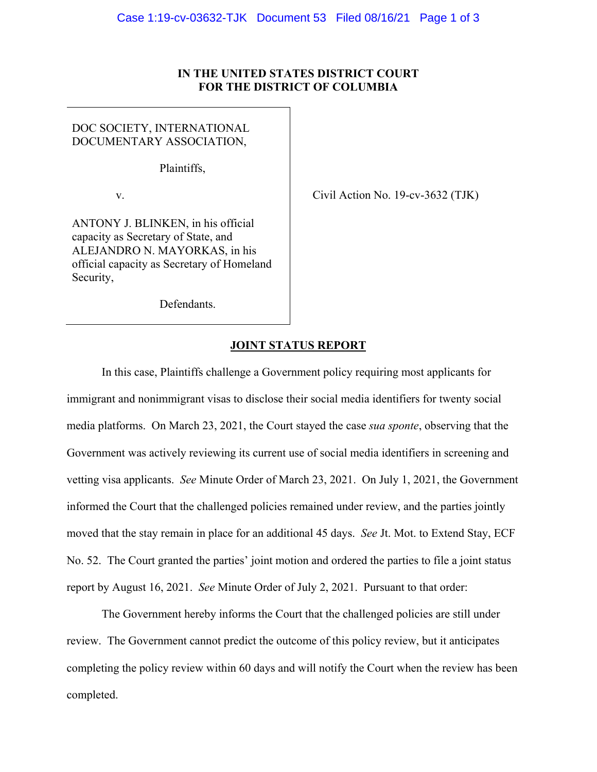## **IN THE UNITED STATES DISTRICT COURT FOR THE DISTRICT OF COLUMBIA**

## DOC SOCIETY, INTERNATIONAL DOCUMENTARY ASSOCIATION,

Plaintiffs,

v.  $\qquad \qquad$  Civil Action No. 19-cv-3632 (TJK)

ANTONY J. BLINKEN, in his official capacity as Secretary of State, and ALEJANDRO N. MAYORKAS, in his official capacity as Secretary of Homeland Security,

Defendants.

## **JOINT STATUS REPORT**

 In this case, Plaintiffs challenge a Government policy requiring most applicants for immigrant and nonimmigrant visas to disclose their social media identifiers for twenty social media platforms. On March 23, 2021, the Court stayed the case *sua sponte*, observing that the Government was actively reviewing its current use of social media identifiers in screening and vetting visa applicants. *See* Minute Order of March 23, 2021. On July 1, 2021, the Government informed the Court that the challenged policies remained under review, and the parties jointly moved that the stay remain in place for an additional 45 days. *See* Jt. Mot. to Extend Stay, ECF No. 52. The Court granted the parties' joint motion and ordered the parties to file a joint status report by August 16, 2021. *See* Minute Order of July 2, 2021. Pursuant to that order:

 The Government hereby informs the Court that the challenged policies are still under review. The Government cannot predict the outcome of this policy review, but it anticipates completing the policy review within 60 days and will notify the Court when the review has been completed.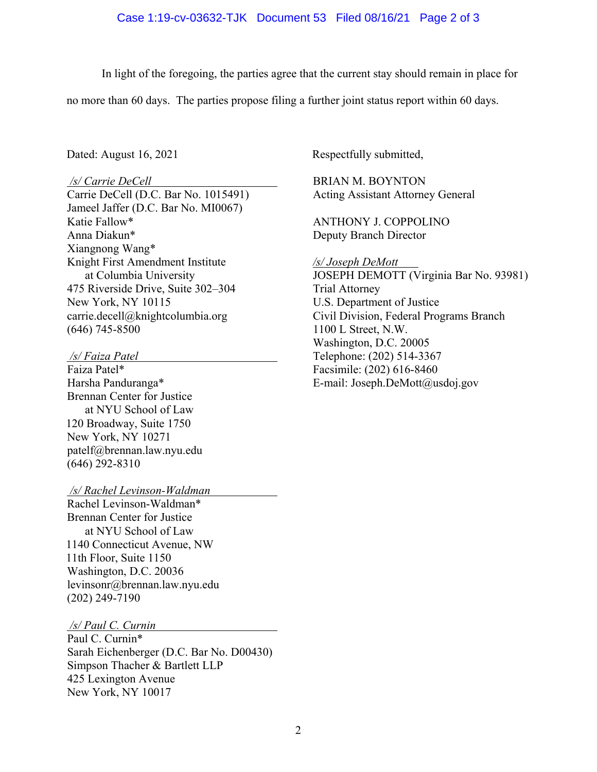In light of the foregoing, the parties agree that the current stay should remain in place for

no more than 60 days. The parties propose filing a further joint status report within 60 days.

## */s/ Carrie DeCell*

Carrie DeCell (D.C. Bar No. 1015491) Jameel Jaffer (D.C. Bar No. MI0067) Katie Fallow\* Anna Diakun\* Xiangnong Wang\* Knight First Amendment Institute at Columbia University 475 Riverside Drive, Suite 302–304 New York, NY 10115 carrie.decell@knightcolumbia.org (646) 745-8500

 */s/ Faiza Patel* 

Faiza Patel\* Harsha Panduranga\* Brennan Center for Justice at NYU School of Law 120 Broadway, Suite 1750 New York, NY 10271 patelf@brennan.law.nyu.edu (646) 292-8310

 */s/ Rachel Levinson-Waldman* 

Rachel Levinson-Waldman\* Brennan Center for Justice at NYU School of Law 1140 Connecticut Avenue, NW 11th Floor, Suite 1150 Washington, D.C. 20036 levinsonr@brennan.law.nyu.edu (202) 249-7190

 */s/ Paul C. Curnin* 

Paul C. Curnin\* Sarah Eichenberger (D.C. Bar No. D00430) Simpson Thacher & Bartlett LLP 425 Lexington Avenue New York, NY 10017

Dated: August 16, 2021 Respectfully submitted,

BRIAN M. BOYNTON Acting Assistant Attorney General

ANTHONY J. COPPOLINO Deputy Branch Director

*/s/ Joseph DeMott* 

JOSEPH DEMOTT (Virginia Bar No. 93981) Trial Attorney U.S. Department of Justice Civil Division, Federal Programs Branch 1100 L Street, N.W. Washington, D.C. 20005 Telephone: (202) 514-3367 Facsimile: (202) 616-8460 E-mail: Joseph.DeMott@usdoj.gov